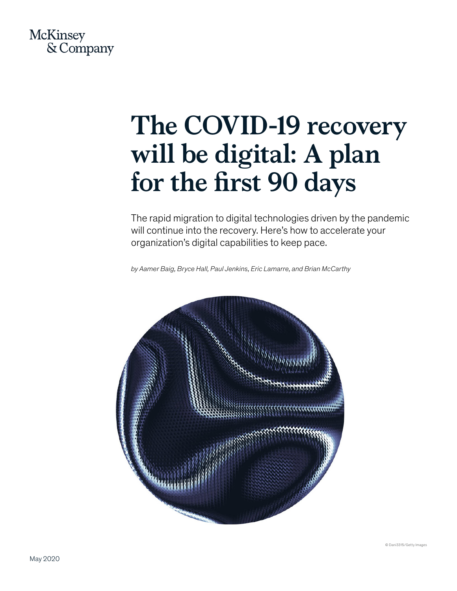

# **The COVID-19 recovery will be digital: A plan for the first 90 days**

The rapid migration to digital technologies driven by the pandemic will continue into the recovery. Here's how to accelerate your organization's digital capabilities to keep pace.

*by Aamer Baig, Bryce Hall, Paul Jenkins, Eric Lamarre, and Brian McCarthy*

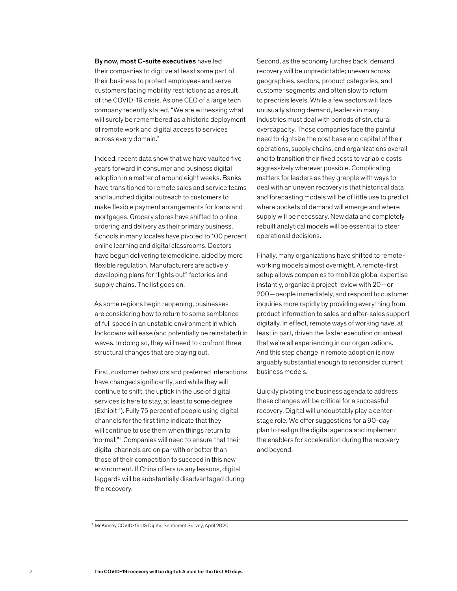By now, most C-suite executives have led their companies to digitize at least some part of their business to protect employees and serve customers facing mobility restrictions as a result of the COVID-19 crisis. As one CEO of a large tech company recently stated, "We are witnessing what will surely be remembered as a historic deployment of remote work and digital access to services across every domain."

Indeed, recent data show that we have vaulted five years forward in consumer and business digital adoption in a matter of around eight weeks. Banks have transitioned to remote sales and service teams and launched digital outreach to customers to make flexible payment arrangements for loans and mortgages. Grocery stores have shifted to online ordering and delivery as their primary business. Schools in many locales have pivoted to 100 percent online learning and digital classrooms. Doctors have begun delivering telemedicine, aided by more flexible regulation. Manufacturers are actively developing plans for "lights out" factories and supply chains. The list goes on.

As some regions begin reopening, businesses are considering how to return to some semblance of full speed in an unstable environment in which lockdowns will ease (and potentially be reinstated) in waves. In doing so, they will need to confront three structural changes that are playing out.

First, customer behaviors and preferred interactions have changed significantly, and while they will continue to shift, the uptick in the use of digital services is here to stay, at least to some degree (Exhibit 1). Fully 75 percent of people using digital channels for the first time indicate that they will continue to use them when things return to "normal."1 Companies will need to ensure that their digital channels are on par with or better than those of their competition to succeed in this new environment. If China offers us any lessons, digital laggards will be substantially disadvantaged during the recovery.

Second, as the economy lurches back, demand recovery will be unpredictable; uneven across geographies, sectors, product categories, and customer segments; and often slow to return to precrisis levels. While a few sectors will face unusually strong demand, leaders in many industries must deal with periods of structural overcapacity. Those companies face the painful need to rightsize the cost base and capital of their operations, supply chains, and organizations overall and to transition their fixed costs to variable costs aggressively wherever possible. Complicating matters for leaders as they grapple with ways to deal with an uneven recovery is that historical data and forecasting models will be of little use to predict where pockets of demand will emerge and where supply will be necessary. New data and completely rebuilt analytical models will be essential to steer operational decisions.

Finally, many organizations have shifted to remoteworking models almost overnight. A remote-first setup allows companies to mobilize global expertise instantly, organize a project review with 20—or 200—people immediately, and respond to customer inquiries more rapidly by providing everything from product information to sales and after-sales support digitally. In effect, remote ways of working have, at least in part, driven the faster execution drumbeat that we're all experiencing in our organizations. And this step change in remote adoption is now arguably substantial enough to reconsider current business models.

Quickly pivoting the business agenda to address these changes will be critical for a successful recovery. Digital will undoubtably play a centerstage role. We offer suggestions for a 90-day plan to realign the digital agenda and implement the enablers for acceleration during the recovery and beyond.

<sup>1</sup> McKinsey COVID-19 US Digital Sentiment Survey, April 2020.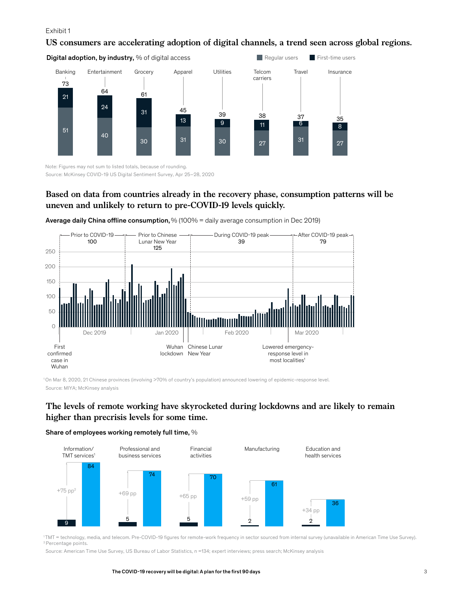#### Exhibit 1

#### **US consumers are accelerating adoption of digital channels, a trend seen across global regions.**

Regular users First-time users

Digital adoption, by industry, % of digital access



Note: Figures may not sum to listed totals, because of rounding. Source: McKinsey COVID-19 US Digital Sentiment Survey, Apr 25–28, 2020

# **Based on data from countries already in the recovery phase, consumption patterns will be uneven and unlikely to return to pre-COVID-19 levels quickly.**



Average daily China offline consumption,  $% (100\% =$  daily average consumption in Dec 2019)

1 On Mar 8, 2020, 21 Chinese provinces (involving >70% of country's population) announced lowering of epidemic-response level. Source: MIYA; McKinsey analysis

# **The levels of remote working have skyrocketed during lockdowns and are likely to remain higher than precrisis levels for some time.**

#### Share of employees working remotely full time, %



1TMT = technology, media, and telecom. Pre-COVID-19 figures for remote-work frequency in sector sourced from internal survey (unavailable in American Time Use Survey). 2 Percentage points.

Source: American Time Use Survey, US Bureau of Labor Statistics, n =134; expert interviews; press search; McKinsey analysis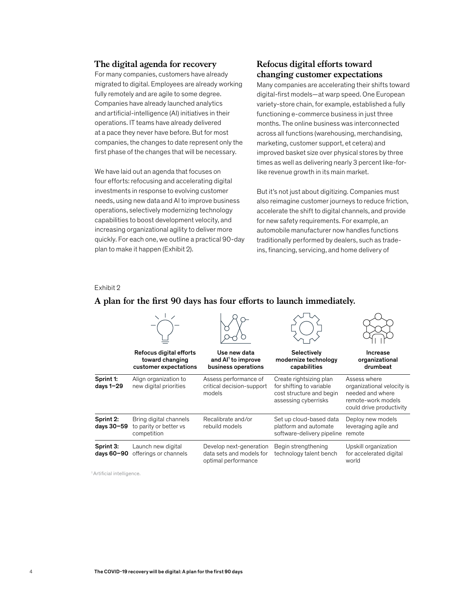#### **The digital agenda for recovery**

For many companies, customers have already migrated to digital. Employees are already working fully remotely and are agile to some degree. Companies have already launched analytics and artificial-intelligence (AI) initiatives in their operations. IT teams have already delivered at a pace they never have before. But for most companies, the changes to date represent only the first phase of the changes that will be necessary.

We have laid out an agenda that focuses on four efforts: refocusing and accelerating digital investments in response to evolving customer needs, using new data and AI to improve business operations, selectively modernizing technology capabilities to boost development velocity, and increasing organizational agility to deliver more quickly. For each one, we outline a practical 90-day plan to make it happen (Exhibit 2).

# **Refocus digital efforts toward changing customer expectations**

Many companies are accelerating their shifts toward digital-first models—at warp speed. One European variety-store chain, for example, established a fully functioning e-commerce business in just three months. The online business was interconnected across all functions (warehousing, merchandising, marketing, customer support, et cetera) and improved basket size over physical stores by three times as well as delivering nearly 3 percent like-forlike revenue growth in its main market.

But it's not just about digitizing. Companies must also reimagine customer journeys to reduce friction, accelerate the shift to digital channels, and provide for new safety requirements. For example, an automobile manufacturer now handles functions traditionally performed by dealers, such as tradeins, financing, servicing, and home delivery of

#### Exhibit 2

# A plan for the first 90 days has four efforts to launch immediately.

|                                | Refocus digital efforts<br>toward changing<br>customer expectations | Use new data<br>and Al <sup>1</sup> to improve<br>business operations      | Selectively<br>modernize technology<br>capabilities                                                     | Increase<br>organizational<br>drumbeat                                                                           |
|--------------------------------|---------------------------------------------------------------------|----------------------------------------------------------------------------|---------------------------------------------------------------------------------------------------------|------------------------------------------------------------------------------------------------------------------|
| Sprint 1:<br>days 1-29         | Align organization to<br>new digital priorities                     | Assess performance of<br>critical decision-support<br>models               | Create rightsizing plan<br>for shifting to variable<br>cost structure and begin<br>assessing cyberrisks | Assess where<br>organizational velocity is<br>needed and where<br>remote-work models<br>could drive productivity |
| Sprint 2:<br>days 30-59        | Bring digital channels<br>to parity or better vs<br>competition     | Recalibrate and/or<br>rebuild models                                       | Set up cloud-based data<br>platform and automate<br>software-delivery pipeline                          | Deploy new models<br>leveraging agile and<br>remote                                                              |
| <b>Sprint 3:</b><br>days 60-90 | Launch new digital<br>offerings or channels                         | Develop next-generation<br>data sets and models for<br>optimal performance | Begin strengthening<br>technology talent bench                                                          | Upskill organization<br>for accelerated digital<br>world                                                         |

<sup>1</sup> Artificial intelligence.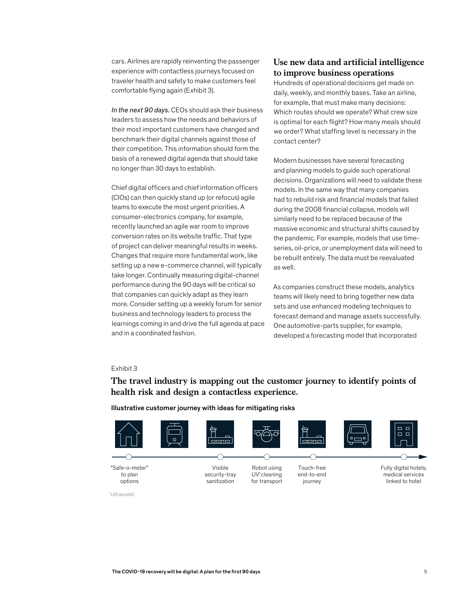cars. Airlines are rapidly reinventing the passenger experience with contactless journeys focused on traveler health and safety to make customers feel comfortable flying again (Exhibit 3).

*In the next 90 days.* CEOs should ask their business leaders to assess how the needs and behaviors of their most important customers have changed and benchmark their digital channels against those of their competition. This information should form the basis of a renewed digital agenda that should take no longer than 30 days to establish.

Chief digital officers and chief information officers (CIOs) can then quickly stand up (or refocus) agile teams to execute the most urgent priorities. A consumer-electronics company, for example, recently launched an agile war room to improve conversion rates on its website traffic. That type of project can deliver meaningful results in weeks. Changes that require more fundamental work, like setting up a new e-commerce channel, will typically take longer. Continually measuring digital-channel performance during the 90 days will be critical so that companies can quickly adapt as they learn more. Consider setting up a weekly forum for senior business and technology leaders to process the business and technology readers to process the<br>learnings coming in and drive the full agenda at pace and in a coordinated fashion.

## **Use new data and artificial intelligence to improve business operations**

Hundreds of operational decisions get made on daily, weekly, and monthly bases. Take an airline, for example, that must make many decisions: Which routes should we operate? What crew size is optimal for each flight? How many meals should we order? What staffing level is necessary in the contact center?

Modern businesses have several forecasting and planning models to guide such operational decisions. Organizations will need to validate these models. In the same way that many companies had to rebuild risk and financial models that failed during the 2008 financial collapse, models will similarly need to be replaced because of the massive economic and structural shifts caused by the pandemic. For example, models that use timeseries, oil-price, or unemployment data will need to be rebuilt entirely. The data must be reevaluated as well.

As companies construct these models, analytics teams will likely need to bring together new data sets and use enhanced modeling techniques to forecast demand and manage assets successfully. One automotive-parts supplier, for example, developed a forecasting model that incorporated

#### Exhibit 3

# **The travel industry is mapping out the customer journey to identify points of health risk and design a contactless experience.**

Illustrative customer journey with ideas for mitigating risks



1 Ultraviolet.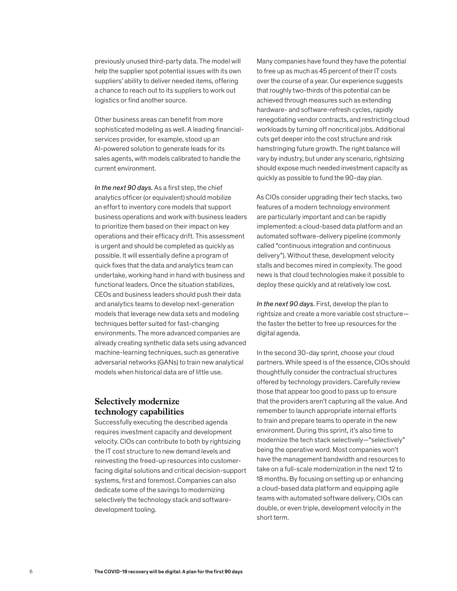previously unused third-party data. The model will help the supplier spot potential issues with its own suppliers' ability to deliver needed items, offering a chance to reach out to its suppliers to work out logistics or find another source.

Other business areas can benefit from more sophisticated modeling as well. A leading financialservices provider, for example, stood up an AI-powered solution to generate leads for its sales agents, with models calibrated to handle the current environment.

*In the next 90 days.* As a first step, the chief analytics officer (or equivalent) should mobilize an effort to inventory core models that support business operations and work with business leaders to prioritize them based on their impact on key operations and their efficacy drift. This assessment is urgent and should be completed as quickly as possible. It will essentially define a program of quick fixes that the data and analytics team can undertake, working hand in hand with business and functional leaders. Once the situation stabilizes, CEOs and business leaders should push their data and analytics teams to develop next-generation models that leverage new data sets and modeling techniques better suited for fast-changing environments. The more advanced companies are already creating synthetic data sets using advanced machine-learning techniques, such as generative adversarial networks (GANs) to train new analytical models when historical data are of little use.

# **Selectively modernize technology capabilities**

Successfully executing the described agenda requires investment capacity and development velocity. CIOs can contribute to both by rightsizing the IT cost structure to new demand levels and reinvesting the freed-up resources into customerfacing digital solutions and critical decision-support systems, first and foremost. Companies can also dedicate some of the savings to modernizing selectively the technology stack and softwaredevelopment tooling.

Many companies have found they have the potential to free up as much as 45 percent of their IT costs over the course of a year. Our experience suggests that roughly two-thirds of this potential can be achieved through measures such as extending hardware- and software-refresh cycles, rapidly renegotiating vendor contracts, and restricting cloud workloads by turning off noncritical jobs. Additional cuts get deeper into the cost structure and risk hamstringing future growth. The right balance will vary by industry, but under any scenario, rightsizing should expose much needed investment capacity as quickly as possible to fund the 90-day plan.

As CIOs consider upgrading their tech stacks, two features of a modern technology environment are particularly important and can be rapidly implemented: a cloud-based data platform and an automated software-delivery pipeline (commonly called "continuous integration and continuous delivery"). Without these, development velocity stalls and becomes mired in complexity. The good news is that cloud technologies make it possible to deploy these quickly and at relatively low cost.

*In the next 90 days.* First, develop the plan to rightsize and create a more variable cost structure the faster the better to free up resources for the digital agenda.

In the second 30-day sprint, choose your cloud partners. While speed is of the essence, CIOs should thoughtfully consider the contractual structures offered by technology providers. Carefully review those that appear too good to pass up to ensure that the providers aren't capturing all the value. And remember to launch appropriate internal efforts to train and prepare teams to operate in the new environment. During this sprint, it's also time to modernize the tech stack selectively—"selectively" being the operative word. Most companies won't have the management bandwidth and resources to take on a full-scale modernization in the next 12 to 18 months. By focusing on setting up or enhancing a cloud-based data platform and equipping agile teams with automated software delivery, CIOs can double, or even triple, development velocity in the short term.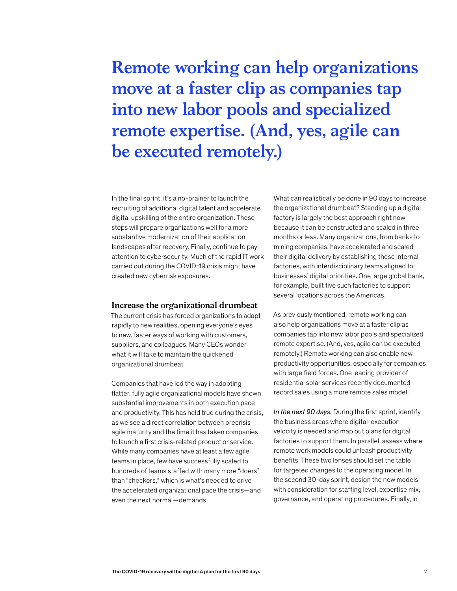# **Remote working can help organizations move at a faster clip as companies tap into new labor pools and specialized remote expertise. (And, yes, agile can be executed remotely.)**

In the final sprint, it's a no-brainer to launch the recruiting of additional digital talent and accelerate digital upskilling of the entire organization. These steps will prepare organizations well for a more substantive modernization of their application landscapes after recovery. Finally, continue to pay attention to cybersecurity. Much of the rapid IT work carried out during the COVID-19 crisis might have created new cyberrisk exposures.

#### **Increase the organizational drumbeat**

The current crisis has forced organizations to adapt rapidly to new realities, opening everyone's eyes to new, faster ways of working with customers, suppliers, and colleagues. Many CEOs wonder what it will take to maintain the quickened organizational drumbeat.

Companies that have led the way in adopting flatter, fully agile organizational models have shown substantial improvements in both execution pace and productivity. This has held true during the crisis, as we see a direct correlation between precrisis agile maturity and the time it has taken companies to launch a first crisis-related product or service. While many companies have at least a few agile teams in place, few have successfully scaled to hundreds of teams staffed with many more "doers" than "checkers," which is what's needed to drive the accelerated organizational pace the crisis—and even the next normal—demands.

What can realistically be done in 90 days to increase the organizational drumbeat? Standing up a digital factory is largely the best approach right now because it can be constructed and scaled in three months or less. Many organizations, from banks to mining companies, have accelerated and scaled their digital delivery by establishing these internal factories, with interdisciplinary teams aligned to businesses' digital priorities. One large global bank, for example, built five such factories to support several locations across the Americas.

As previously mentioned, remote working can also help organizations move at a faster clip as companies tap into new labor pools and specialized remote expertise. (And, yes, agile can be executed remotely.) Remote working can also enable new productivity opportunities, especially for companies with large field forces. One leading provider of residential solar services recently documented record sales using a more remote sales model.

*In the next 90 days.* During the first sprint, identify the business areas where digital-execution velocity is needed and map out plans for digital factories to support them. In parallel, assess where remote work models could unleash productivity benefits. These two lenses should set the table for targeted changes to the operating model. In the second 30-day sprint, design the new models with consideration for staffing level, expertise mix, governance, and operating procedures. Finally, in